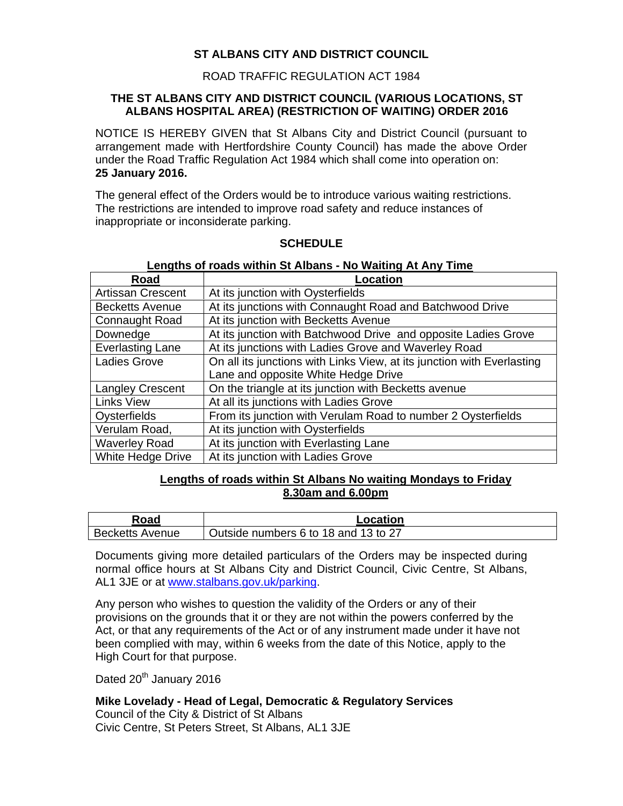# **ST ALBANS CITY AND DISTRICT COUNCIL**

# ROAD TRAFFIC REGULATION ACT 1984

### **THE ST ALBANS CITY AND DISTRICT COUNCIL (VARIOUS LOCATIONS, ST ALBANS HOSPITAL AREA) (RESTRICTION OF WAITING) ORDER 2016**

NOTICE IS HEREBY GIVEN that St Albans City and District Council (pursuant to arrangement made with Hertfordshire County Council) has made the above Order under the Road Traffic Regulation Act 1984 which shall come into operation on: **25 January 2016.** 

The general effect of the Orders would be to introduce various waiting restrictions. The restrictions are intended to improve road safety and reduce instances of inappropriate or inconsiderate parking.

#### **SCHEDULE**

#### **Lengths of roads within St Albans - No Waiting At Any Time**

| Road                     | Location                                                               |
|--------------------------|------------------------------------------------------------------------|
| <b>Artissan Crescent</b> | At its junction with Oysterfields                                      |
| <b>Becketts Avenue</b>   | At its junctions with Connaught Road and Batchwood Drive               |
| Connaught Road           | At its junction with Becketts Avenue                                   |
| Downedge                 | At its junction with Batchwood Drive and opposite Ladies Grove         |
| <b>Everlasting Lane</b>  | At its junctions with Ladies Grove and Waverley Road                   |
| Ladies Grove             | On all its junctions with Links View, at its junction with Everlasting |
|                          | Lane and opposite White Hedge Drive                                    |
| <b>Langley Crescent</b>  | On the triangle at its junction with Becketts avenue                   |
| <b>Links View</b>        | At all its junctions with Ladies Grove                                 |
| Oysterfields             | From its junction with Verulam Road to number 2 Oysterfields           |
| Verulam Road,            | At its junction with Oysterfields                                      |
| <b>Waverley Road</b>     | At its junction with Everlasting Lane                                  |
| White Hedge Drive        | At its junction with Ladies Grove                                      |

## **Lengths of roads within St Albans No waiting Mondays to Friday 8.30am and 6.00pm**

| Road                   | Location                             |
|------------------------|--------------------------------------|
| <b>Becketts Avenue</b> | Outside numbers 6 to 18 and 13 to 27 |

Documents giving more detailed particulars of the Orders may be inspected during normal office hours at St Albans City and District Council, Civic Centre, St Albans, AL1 3JE or at www.stalbans.gov.uk/parking.

Any person who wishes to question the validity of the Orders or any of their provisions on the grounds that it or they are not within the powers conferred by the Act, or that any requirements of the Act or of any instrument made under it have not been complied with may, within 6 weeks from the date of this Notice, apply to the High Court for that purpose.

Dated 20<sup>th</sup> January 2016

## **Mike Lovelady - Head of Legal, Democratic & Regulatory Services**

Council of the City & District of St Albans Civic Centre, St Peters Street, St Albans, AL1 3JE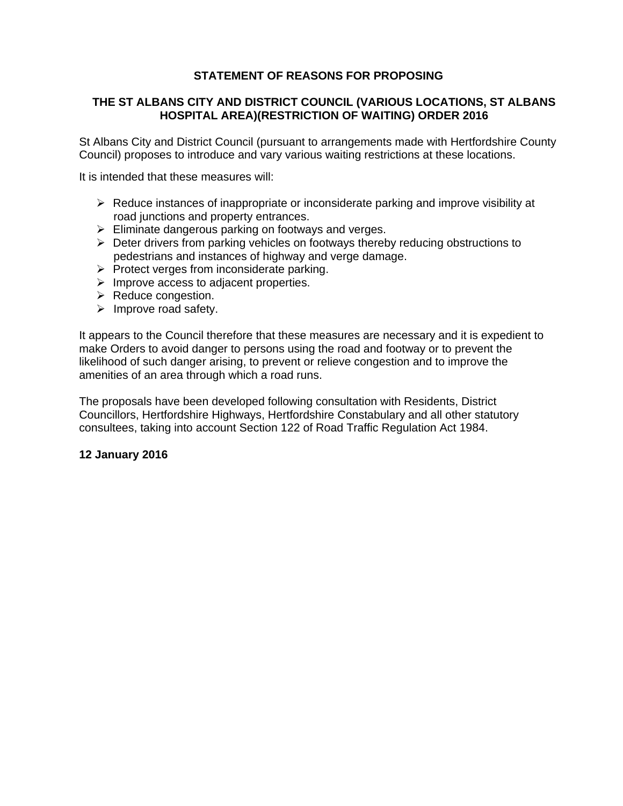# **STATEMENT OF REASONS FOR PROPOSING**

# **THE ST ALBANS CITY AND DISTRICT COUNCIL (VARIOUS LOCATIONS, ST ALBANS HOSPITAL AREA)(RESTRICTION OF WAITING) ORDER 2016**

St Albans City and District Council (pursuant to arrangements made with Hertfordshire County Council) proposes to introduce and vary various waiting restrictions at these locations.

It is intended that these measures will:

- $\triangleright$  Reduce instances of inappropriate or inconsiderate parking and improve visibility at road junctions and property entrances.
- $\triangleright$  Eliminate dangerous parking on footways and verges.
- $\triangleright$  Deter drivers from parking vehicles on footways thereby reducing obstructions to pedestrians and instances of highway and verge damage.
- $\triangleright$  Protect verges from inconsiderate parking.
- $\triangleright$  Improve access to adjacent properties.
- $\triangleright$  Reduce congestion.
- $\triangleright$  Improve road safety.

It appears to the Council therefore that these measures are necessary and it is expedient to make Orders to avoid danger to persons using the road and footway or to prevent the likelihood of such danger arising, to prevent or relieve congestion and to improve the amenities of an area through which a road runs.

The proposals have been developed following consultation with Residents, District Councillors, Hertfordshire Highways, Hertfordshire Constabulary and all other statutory consultees, taking into account Section 122 of Road Traffic Regulation Act 1984.

#### **12 January 2016**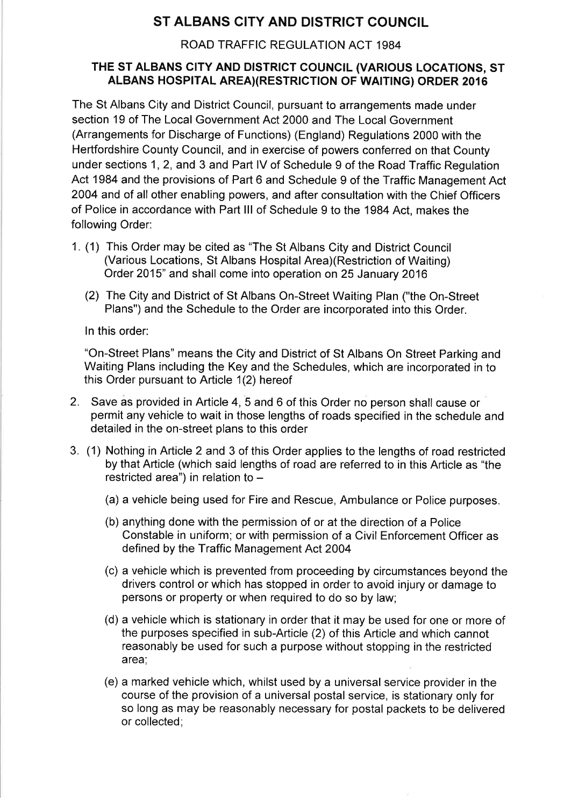# ST ALBANS CITY AND DISTRICT COUNCIL

# ROAD TRAFFIC REGULATION ACT 1984

# THE ST ALBANS CITY AND DISTRICT COUNCIL (VARIOUS LOCATIONS, ST ALBANS HOSPITAL AREA)(RESTRICTION OF WAITING) ORDER 2016

The St Albans City and District Council, pursuant to arrangements made under section 19 of The Local Government Act 2000 and The Local Government (Arrangements for Discharge of Functions) (England) Regulations 2000 with the Hertfordshire County Council, and in exercise of powers conferred on that County under sections 1, 2, and 3 and Part IV of Schedule 9 of the Road Traffic Regulation Act 1984 and the provisions of Part 6 and Schedule 9 of the Traffic Management Act 2004 and of all other enabling powers, and after consultation with the Chief Officers of Police in accordance with Part III of Schedule 9 to the 1984 Act, makes the following Order:

- 1. (1) This Order may be cited as "The St Albans City and District Council (Various Locations, St Albans Hospital Area) (Restriction of Waiting) Order 2015" and shall come into operation on 25 January 2016
	- (2) The City and District of St Albans On-Street Waiting Plan ("the On-Street" Plans") and the Schedule to the Order are incorporated into this Order.

In this order:

"On-Street Plans" means the City and District of St Albans On Street Parking and Waiting Plans including the Key and the Schedules, which are incorporated in to this Order pursuant to Article 1(2) hereof

- 2. Save as provided in Article 4, 5 and 6 of this Order no person shall cause or permit any vehicle to wait in those lengths of roads specified in the schedule and detailed in the on-street plans to this order
- 3. (1) Nothing in Article 2 and 3 of this Order applies to the lengths of road restricted by that Article (which said lengths of road are referred to in this Article as "the restricted area") in relation to -
	- (a) a vehicle being used for Fire and Rescue, Ambulance or Police purposes.
	- (b) anything done with the permission of or at the direction of a Police Constable in uniform; or with permission of a Civil Enforcement Officer as defined by the Traffic Management Act 2004
	- (c) a vehicle which is prevented from proceeding by circumstances beyond the drivers control or which has stopped in order to avoid injury or damage to persons or property or when required to do so by law;
	- (d) a vehicle which is stationary in order that it may be used for one or more of the purposes specified in sub-Article (2) of this Article and which cannot reasonably be used for such a purpose without stopping in the restricted area:
	- (e) a marked vehicle which, whilst used by a universal service provider in the course of the provision of a universal postal service, is stationary only for so long as may be reasonably necessary for postal packets to be delivered or collected: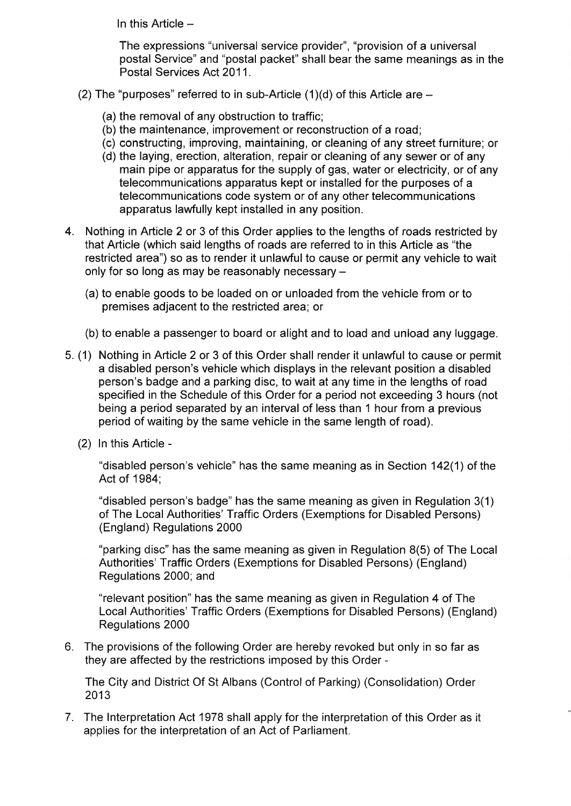In this Article  $-$ 

The expressions "universal service provider", "provision of a universal postal Service" and "postal packet" shall bear the same meanings as in the Postal Services Act 2011.

- (2) The "purposes" referred to in sub-Article  $(1)(d)$  of this Article are  $-$ 
	- (a) the removal of any obstruction to traffic;
	- (b) the maintenance, improvement or reconstruction of a road;
	- (c) constructing, improving, maintaining, or cleaning of any street furniture; or
	- (d) the laying, erection, alteration, repair or cleaning of any sewer or of any main pipe or apparatus for the supply of gas, water or electricity, or of any telecommunications apparatus kept or installed for the purposes of a telecommunications code system or of any other telecommunications apparatus lawfully kept installed in any position.
- 4. Nothing in Article 2 or 3 of this Order applies to the lengths of roads restricted by that Article (which said lengths of roads are referred to in this Article as "the restricted area") so as to render it unlawful to cause or permit any vehicle to wait only for so long as may be reasonably necessary -
	- (a) to enable goods to be loaded on or unloaded from the vehicle from or to premises adjacent to the restricted area; or
	- (b) to enable a passenger to board or alight and to load and unload any luggage.
- 5. (1) Nothing in Article 2 or 3 of this Order shall render it unlawful to cause or permit a disabled person's vehicle which displays in the relevant position a disabled person's badge and a parking disc, to wait at any time in the lengths of road specified in the Schedule of this Order for a period not exceeding 3 hours (not being a period separated by an interval of less than 1 hour from a previous period of waiting by the same vehicle in the same length of road).
	- (2) In this Article -

"disabled person's vehicle" has the same meaning as in Section 142(1) of the Act of 1984;

"disabled person's badge" has the same meaning as given in Regulation 3(1) of The Local Authorities' Traffic Orders (Exemptions for Disabled Persons) (England) Regulations 2000

"parking disc" has the same meaning as given in Regulation 8(5) of The Local Authorities' Traffic Orders (Exemptions for Disabled Persons) (England) Regulations 2000; and

"relevant position" has the same meaning as given in Regulation 4 of The Local Authorities' Traffic Orders (Exemptions for Disabled Persons) (England) **Regulations 2000** 

6. The provisions of the following Order are hereby revoked but only in so far as they are affected by the restrictions imposed by this Order -

The City and District Of St Albans (Control of Parking) (Consolidation) Order 2013

7. The Interpretation Act 1978 shall apply for the interpretation of this Order as it applies for the interpretation of an Act of Parliament.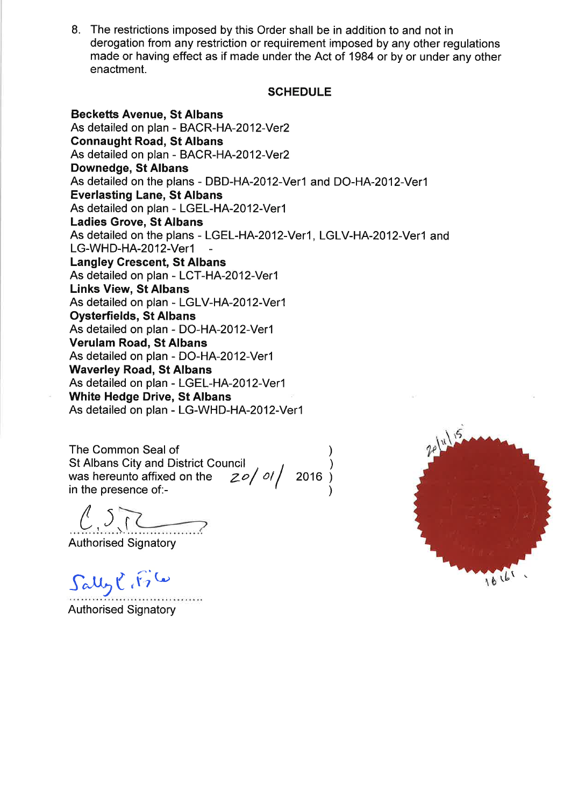8. The restrictions imposed by this Order shall be in addition to and not in derogation from any restriction or requirement imposed by any other requiations made or having effect as if made under the Act of 1984 or by or under any other enactment.

## **SCHEDULE**

**Becketts Avenue, St Albans** As detailed on plan - BACR-HA-2012-Ver2 **Connaught Road, St Albans** As detailed on plan - BACR-HA-2012-Ver2 Downedge, St Albans As detailed on the plans - DBD-HA-2012-Ver1 and DO-HA-2012-Ver1 **Everlasting Lane, St Albans** As detailed on plan - LGEL-HA-2012-Ver1 **Ladies Grove, St Albans** As detailed on the plans - LGEL-HA-2012-Ver1, LGLV-HA-2012-Ver1 and LG-WHD-HA-2012-Ver1 **Langley Crescent, St Albans** As detailed on plan - LCT-HA-2012-Ver1 **Links View, St Albans** As detailed on plan - LGLV-HA-2012-Ver1 **Oysterfields, St Albans** As detailed on plan - DO-HA-2012-Ver1 **Verulam Road, St Albans** As detailed on plan - DO-HA-2012-Ver1 **Waverley Road, St Albans** As detailed on plan - LGEL-HA-2012-Ver1 **White Hedge Drive, St Albans** As detailed on plan - LG-WHD-HA-2012-Ver1

The Common Seal of St Albans City and District Council<br>was hereunto affixed on the  $20/01/2016$ in the presence of:-

**Authorised Signatory** 

 $Sallyl$ ,  $i_7$   $\omega$ 

**Authorised Signatory** 

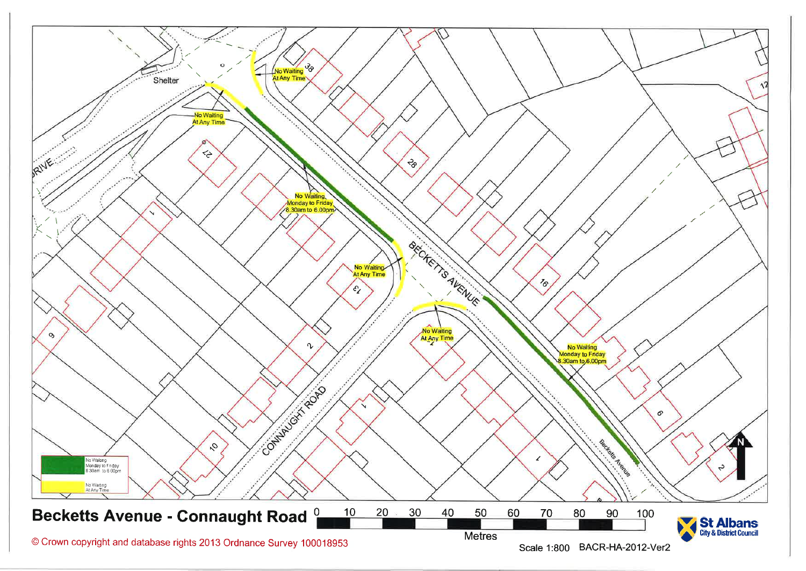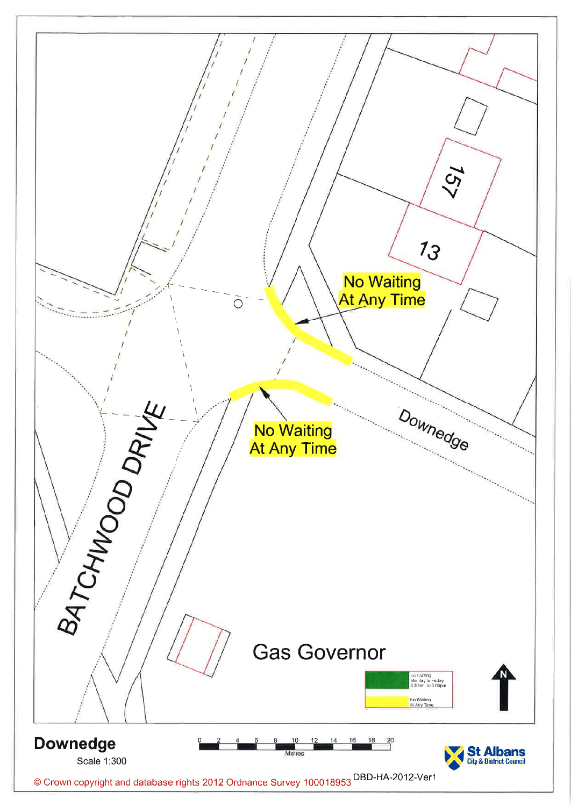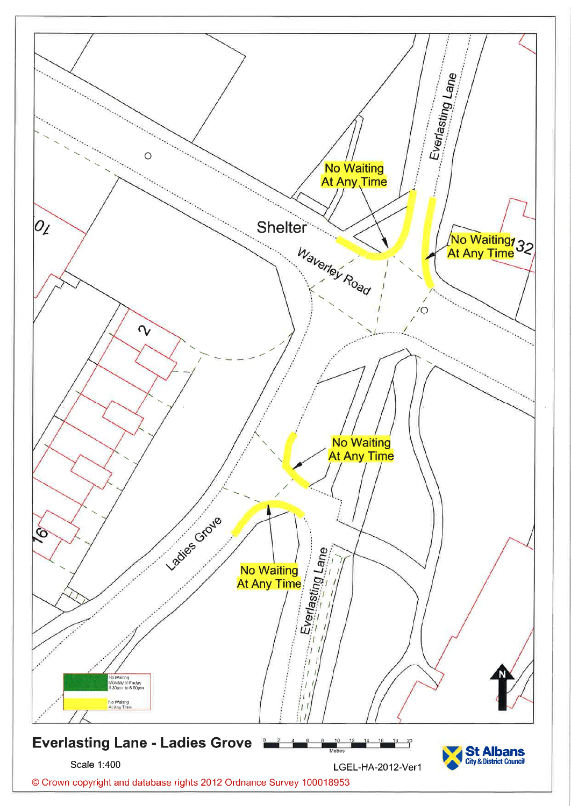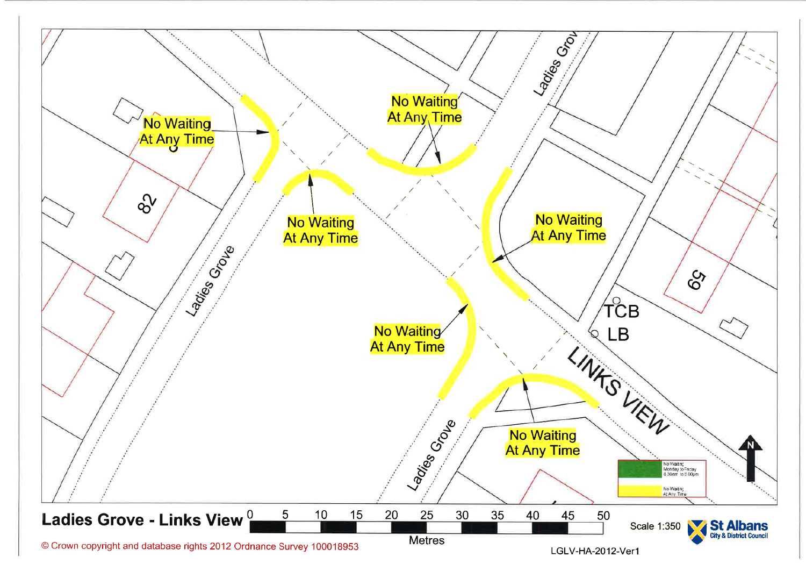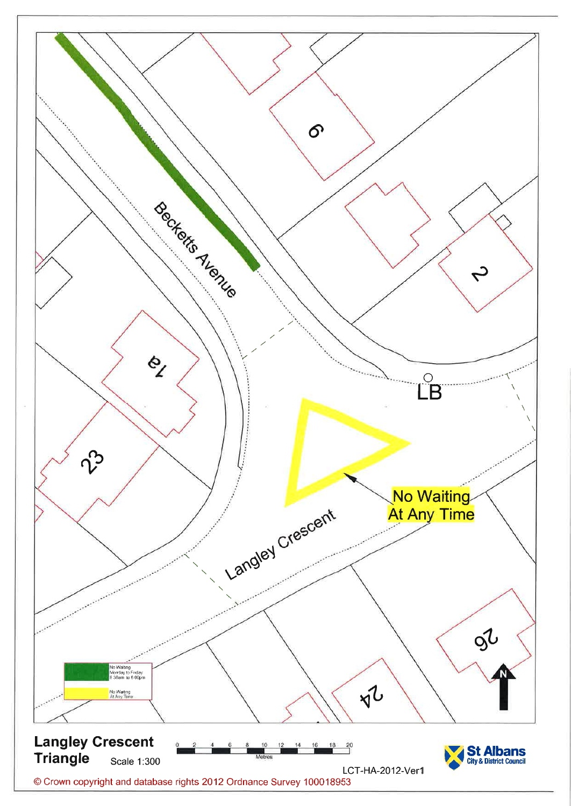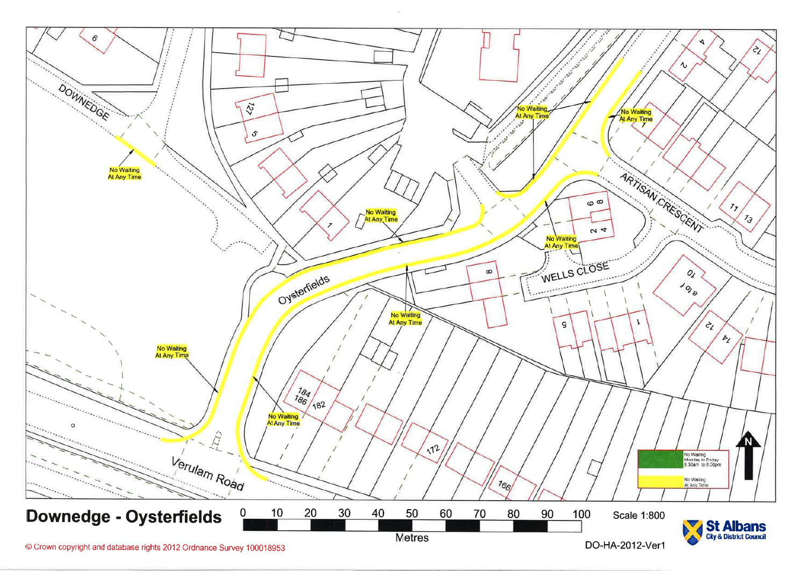